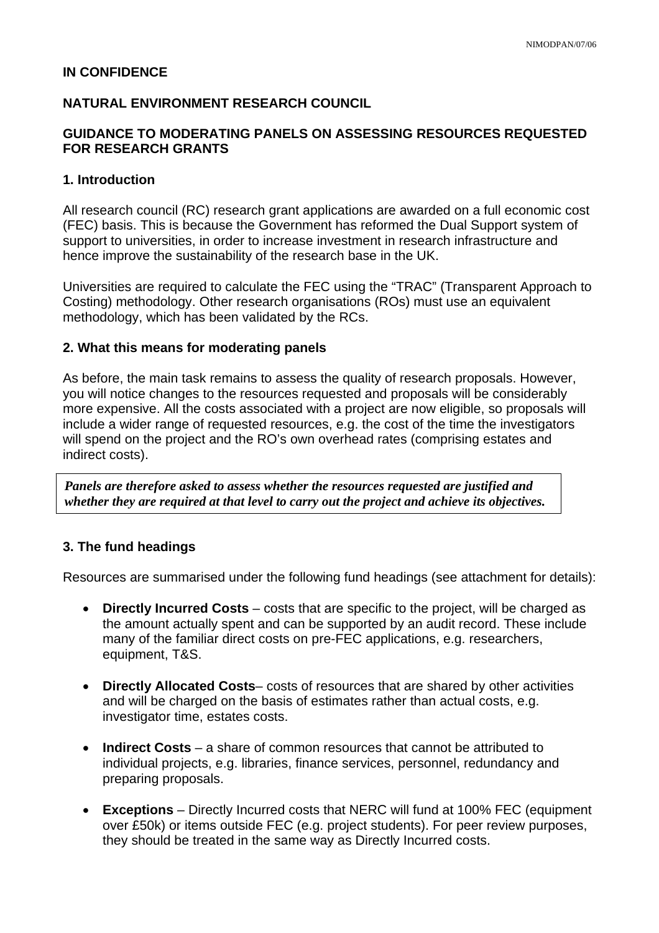## **IN CONFIDENCE**

# **NATURAL ENVIRONMENT RESEARCH COUNCIL**

## **GUIDANCE TO MODERATING PANELS ON ASSESSING RESOURCES REQUESTED FOR RESEARCH GRANTS**

#### **1. Introduction**

All research council (RC) research grant applications are awarded on a full economic cost (FEC) basis. This is because the Government has reformed the Dual Support system of support to universities, in order to increase investment in research infrastructure and hence improve the sustainability of the research base in the UK.

Universities are required to calculate the FEC using the "TRAC" (Transparent Approach to Costing) methodology. Other research organisations (ROs) must use an equivalent methodology, which has been validated by the RCs.

#### **2. What this means for moderating panels**

As before, the main task remains to assess the quality of research proposals. However, you will notice changes to the resources requested and proposals will be considerably more expensive. All the costs associated with a project are now eligible, so proposals will include a wider range of requested resources, e.g. the cost of the time the investigators will spend on the project and the RO's own overhead rates (comprising estates and indirect costs).

*Panels are therefore asked to assess whether the resources requested are justified and whether they are required at that level to carry out the project and achieve its objectives.* 

## **3. The fund headings**

Resources are summarised under the following fund headings (see attachment for details):

- **Directly Incurred Costs** costs that are specific to the project, will be charged as the amount actually spent and can be supported by an audit record. These include many of the familiar direct costs on pre-FEC applications, e.g. researchers, equipment, T&S.
- **Directly Allocated Costs** costs of resources that are shared by other activities and will be charged on the basis of estimates rather than actual costs, e.g. investigator time, estates costs.
- **Indirect Costs** a share of common resources that cannot be attributed to individual projects, e.g. libraries, finance services, personnel, redundancy and preparing proposals.
- **Exceptions**  Directly Incurred costs that NERC will fund at 100% FEC (equipment over £50k) or items outside FEC (e.g. project students). For peer review purposes, they should be treated in the same way as Directly Incurred costs.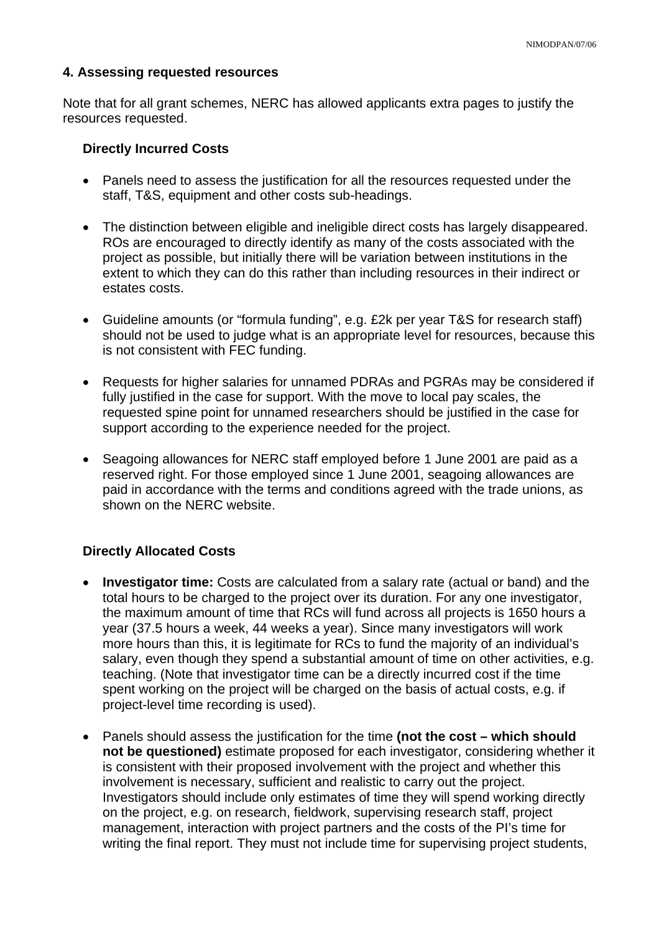#### **4. Assessing requested resources**

Note that for all grant schemes, NERC has allowed applicants extra pages to justify the resources requested.

#### **Directly Incurred Costs**

- Panels need to assess the justification for all the resources requested under the staff, T&S, equipment and other costs sub-headings.
- The distinction between eligible and ineligible direct costs has largely disappeared. ROs are encouraged to directly identify as many of the costs associated with the project as possible, but initially there will be variation between institutions in the extent to which they can do this rather than including resources in their indirect or estates costs.
- Guideline amounts (or "formula funding", e.g. £2k per year T&S for research staff) should not be used to judge what is an appropriate level for resources, because this is not consistent with FEC funding.
- Requests for higher salaries for unnamed PDRAs and PGRAs may be considered if fully justified in the case for support. With the move to local pay scales, the requested spine point for unnamed researchers should be justified in the case for support according to the experience needed for the project.
- Seagoing allowances for NERC staff employed before 1 June 2001 are paid as a reserved right. For those employed since 1 June 2001, seagoing allowances are paid in accordance with the terms and conditions agreed with the trade unions, as shown on the NERC website.

## **Directly Allocated Costs**

- **Investigator time:** Costs are calculated from a salary rate (actual or band) and the total hours to be charged to the project over its duration. For any one investigator, the maximum amount of time that RCs will fund across all projects is 1650 hours a year (37.5 hours a week, 44 weeks a year). Since many investigators will work more hours than this, it is legitimate for RCs to fund the majority of an individual's salary, even though they spend a substantial amount of time on other activities, e.g. teaching. (Note that investigator time can be a directly incurred cost if the time spent working on the project will be charged on the basis of actual costs, e.g. if project-level time recording is used).
- Panels should assess the justification for the time **(not the cost which should not be questioned)** estimate proposed for each investigator, considering whether it is consistent with their proposed involvement with the project and whether this involvement is necessary, sufficient and realistic to carry out the project. Investigators should include only estimates of time they will spend working directly on the project, e.g. on research, fieldwork, supervising research staff, project management, interaction with project partners and the costs of the PI's time for writing the final report. They must not include time for supervising project students,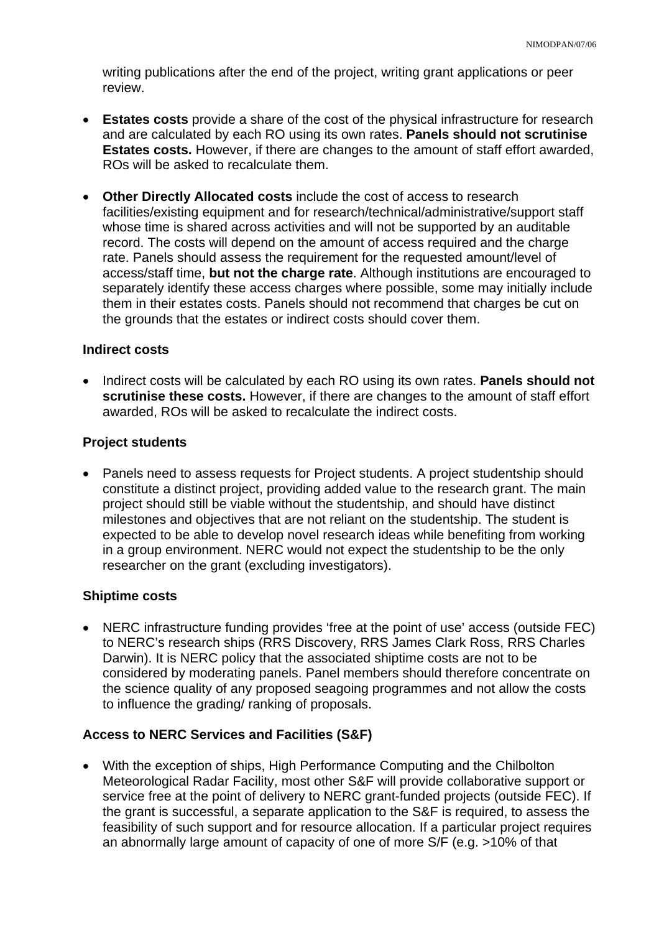writing publications after the end of the project, writing grant applications or peer review.

- **Estates costs** provide a share of the cost of the physical infrastructure for research and are calculated by each RO using its own rates. **Panels should not scrutinise Estates costs.** However, if there are changes to the amount of staff effort awarded, ROs will be asked to recalculate them.
- **Other Directly Allocated costs** include the cost of access to research facilities/existing equipment and for research/technical/administrative/support staff whose time is shared across activities and will not be supported by an auditable record. The costs will depend on the amount of access required and the charge rate. Panels should assess the requirement for the requested amount/level of access/staff time, **but not the charge rate**. Although institutions are encouraged to separately identify these access charges where possible, some may initially include them in their estates costs. Panels should not recommend that charges be cut on the grounds that the estates or indirect costs should cover them.

#### **Indirect costs**

• Indirect costs will be calculated by each RO using its own rates. **Panels should not scrutinise these costs.** However, if there are changes to the amount of staff effort awarded, ROs will be asked to recalculate the indirect costs.

#### **Project students**

• Panels need to assess requests for Project students. A project studentship should constitute a distinct project, providing added value to the research grant. The main project should still be viable without the studentship, and should have distinct milestones and objectives that are not reliant on the studentship. The student is expected to be able to develop novel research ideas while benefiting from working in a group environment. NERC would not expect the studentship to be the only researcher on the grant (excluding investigators).

## **Shiptime costs**

• NERC infrastructure funding provides 'free at the point of use' access (outside FEC) to NERC's research ships (RRS Discovery, RRS James Clark Ross, RRS Charles Darwin). It is NERC policy that the associated shiptime costs are not to be considered by moderating panels. Panel members should therefore concentrate on the science quality of any proposed seagoing programmes and not allow the costs to influence the grading/ ranking of proposals.

## **Access to NERC Services and Facilities (S&F)**

• With the exception of ships, High Performance Computing and the Chilbolton Meteorological Radar Facility, most other S&F will provide collaborative support or service free at the point of delivery to NERC grant-funded projects (outside FEC). If the grant is successful, a separate application to the S&F is required, to assess the feasibility of such support and for resource allocation. If a particular project requires an abnormally large amount of capacity of one of more S/F (e.g. >10% of that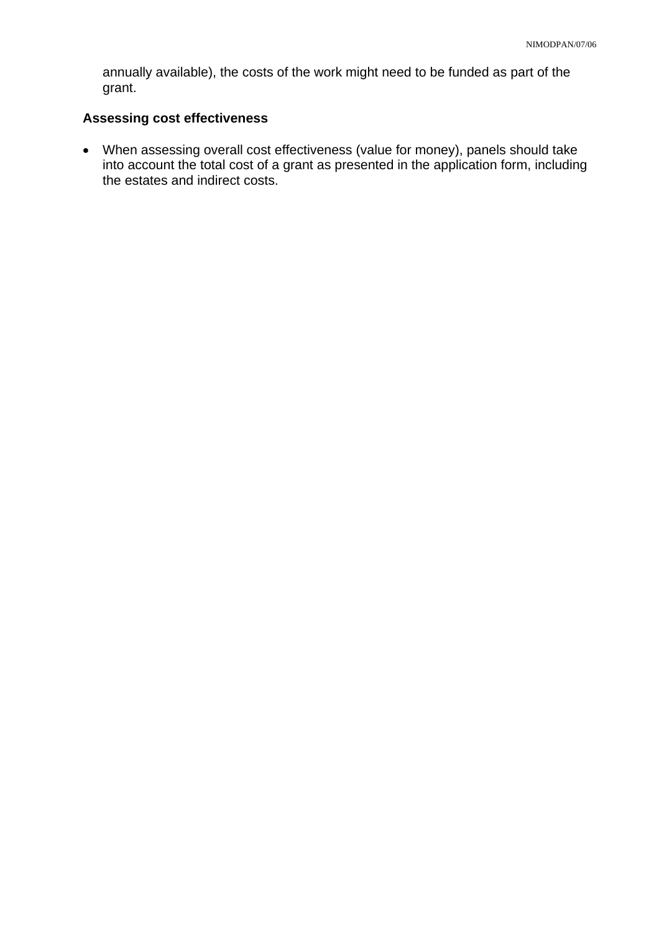annually available), the costs of the work might need to be funded as part of the grant.

# **Assessing cost effectiveness**

• When assessing overall cost effectiveness (value for money), panels should take into account the total cost of a grant as presented in the application form, including the estates and indirect costs.